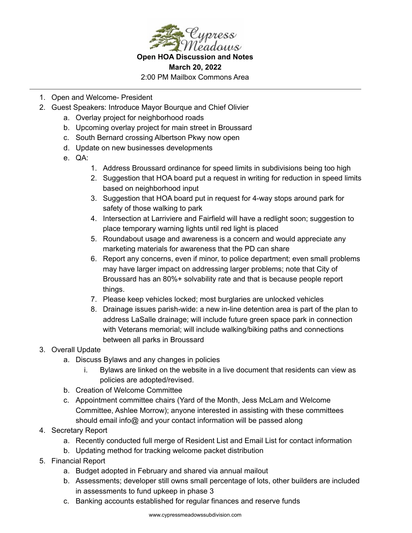

**Open HOA Discussion and Notes March 20, 2022** 2:00 PM Mailbox Commons Area

- 1. Open and Welcome- President
- 2. Guest Speakers: Introduce Mayor Bourque and Chief Olivier
	- a. Overlay project for neighborhood roads
	- b. Upcoming overlay project for main street in Broussard
	- c. South Bernard crossing Albertson Pkwy now open
	- d. Update on new businesses developments
	- e. QA:
		- 1. Address Broussard ordinance for speed limits in subdivisions being too high
		- 2. Suggestion that HOA board put a request in writing for reduction in speed limits based on neighborhood input
		- 3. Suggestion that HOA board put in request for 4-way stops around park for safety of those walking to park
		- 4. Intersection at Larriviere and Fairfield will have a redlight soon; suggestion to place temporary warning lights until red light is placed
		- 5. Roundabout usage and awareness is a concern and would appreciate any marketing materials for awareness that the PD can share
		- 6. Report any concerns, even if minor, to police department; even small problems may have larger impact on addressing larger problems; note that City of Broussard has an 80%+ solvability rate and that is because people report things.
		- 7. Please keep vehicles locked; most burglaries are unlocked vehicles
		- 8. Drainage issues parish-wide: a new in-line detention area is part of the plan to address LaSalle drainage; will include future green space park in connection with Veterans memorial; will include walking/biking paths and connections between all parks in Broussard
- 3. Overall Update
	- a. Discuss Bylaws and any changes in policies
		- i. Bylaws are linked on the website in a live document that residents can view as policies are adopted/revised.
	- b. Creation of Welcome Committee
	- c. Appointment committee chairs (Yard of the Month, Jess McLam and Welcome Committee, Ashlee Morrow); anyone interested in assisting with these committees should email info@ and your contact information will be passed along
- 4. Secretary Report
	- a. Recently conducted full merge of Resident List and Email List for contact information
	- b. Updating method for tracking welcome packet distribution
- 5. Financial Report
	- a. Budget adopted in February and shared via annual mailout
	- b. Assessments; developer still owns small percentage of lots, other builders are included in assessments to fund upkeep in phase 3
	- c. Banking accounts established for regular finances and reserve funds